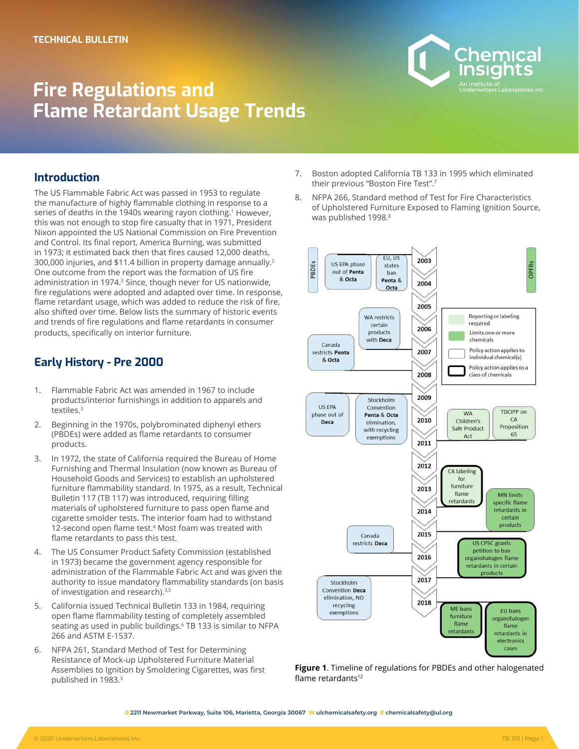# **Fire Regulations and Flame Retardant Usage Trends**



## **Introduction**

The US Flammable Fabric Act was passed in 1953 to regulate the manufacture of highly flammable clothing in response to a series of deaths in the 1940s wearing rayon clothing.<sup>1</sup> However, this was not enough to stop fire casualty that in 1971, President Nixon appointed the US National Commission on Fire Prevention and Control. Its final report, America Burning, was submitted in 1973; it estimated back then that fires caused 12,000 deaths, 300,000 injuries, and \$11.4 billion in property damage annually.2 One outcome from the report was the formation of US fire administration in 1974.<sup>2</sup> Since, though never for US nationwide, fire regulations were adopted and adapted over time. In response, flame retardant usage, which was added to reduce the risk of fire, also shifted over time. Below lists the summary of historic events and trends of fire regulations and flame retardants in consumer products, specifically on interior furniture.

# **Early History - Pre 2000**

- 1. Flammable Fabric Act was amended in 1967 to include products/interior furnishings in addition to apparels and textiles.3
- 2. Beginning in the 1970s, polybrominated diphenyl ethers (PBDEs) were added as flame retardants to consumer products.
- 3. In 1972, the state of California required the Bureau of Home Furnishing and Thermal Insulation (now known as Bureau of Household Goods and Services) to establish an upholstered furniture flammability standard. In 1975, as a result, Technical Bulletin 117 (TB 117) was introduced, requiring filling materials of upholstered furniture to pass open flame and cigarette smolder tests. The interior foam had to withstand 12-second open flame test.<sup>4</sup> Most foam was treated with flame retardants to pass this test.
- 4. The US Consumer Product Safety Commission (established in 1973) became the government agency responsible for administration of the Flammable Fabric Act and was given the authority to issue mandatory flammability standards (on basis of investigation and research).<sup>3,5</sup>
- 5. California issued Technical Bulletin 133 in 1984, requiring open flame flammability testing of completely assembled seating as used in public buildings.6 TB 133 is similar to NFPA 266 and ASTM E-1537.
- 6. NFPA 261, Standard Method of Test for Determining Resistance of Mock-up Upholstered Furniture Material Assemblies to Ignition by Smoldering Cigarettes, was first published in 1983.3
- 7. Boston adopted California TB 133 in 1995 which eliminated their previous "Boston Fire Test".7
- 8. NFPA 266, Standard method of Test for Fire Characteristics of Upholstered Furniture Exposed to Flaming Ignition Source, was published 1998.<sup>8</sup>





**a 2211 Newmarket Parkway, Suite 106, Marietta, Georgia 30067 w ulchemicalsafety.org e chemicalsafety@ul.org**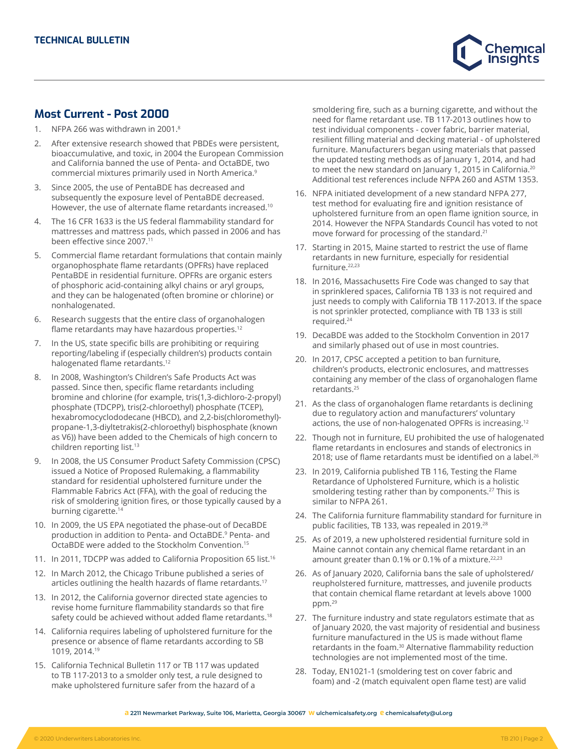

## **Most Current - Post 2000**

- NFPA 266 was withdrawn in 2001.<sup>8</sup>
- 2. After extensive research showed that PBDEs were persistent, bioaccumulative, and toxic, in 2004 the European Commission and California banned the use of Penta- and OctaBDE, two commercial mixtures primarily used in North America.9
- 3. Since 2005, the use of PentaBDE has decreased and subsequently the exposure level of PentaBDE decreased. However, the use of alternate flame retardants increased.<sup>10</sup>
- 4. The 16 CFR 1633 is the US federal flammability standard for mattresses and mattress pads, which passed in 2006 and has been effective since 2007.<sup>11</sup>
- 5. Commercial flame retardant formulations that contain mainly organophosphate flame retardants (OPFRs) have replaced PentaBDE in residential furniture. OPFRs are organic esters of phosphoric acid-containing alkyl chains or aryl groups, and they can be halogenated (often bromine or chlorine) or nonhalogenated.
- 6. Research suggests that the entire class of organohalogen flame retardants may have hazardous properties.<sup>12</sup>
- 7. In the US, state specific bills are prohibiting or requiring reporting/labeling if (especially children's) products contain halogenated flame retardants.<sup>12</sup>
- 8. In 2008, Washington's Children's Safe Products Act was passed. Since then, specific flame retardants including bromine and chlorine (for example, tris(1,3-dichloro-2-propyl) phosphate (TDCPP), tris(2-chloroethyl) phosphate (TCEP), hexabromocyclododecane (HBCD), and 2,2-bis(chloromethyl) propane-1,3-diyltetrakis(2-chloroethyl) bisphosphate (known as V6)) have been added to the Chemicals of high concern to children reporting list.<sup>13</sup>
- 9. In 2008, the US Consumer Product Safety Commission (CPSC) issued a Notice of Proposed Rulemaking, a flammability standard for residential upholstered furniture under the Flammable Fabrics Act (FFA), with the goal of reducing the risk of smoldering ignition fires, or those typically caused by a burning cigarette.<sup>14</sup>
- 10. In 2009, the US EPA negotiated the phase-out of DecaBDE production in addition to Penta- and OctaBDE.9 Penta- and OctaBDE were added to the Stockholm Convention.15
- 11. In 2011, TDCPP was added to California Proposition 65 list.<sup>16</sup>
- 12. In March 2012, the Chicago Tribune published a series of articles outlining the health hazards of flame retardants.<sup>17</sup>
- 13. In 2012, the California governor directed state agencies to revise home furniture flammability standards so that fire safety could be achieved without added flame retardants.<sup>18</sup>
- 14. California requires labeling of upholstered furniture for the presence or absence of flame retardants according to SB 1019, 2014.19
- 15. California Technical Bulletin 117 or TB 117 was updated to TB 117-2013 to a smolder only test, a rule designed to make upholstered furniture safer from the hazard of a

smoldering fire, such as a burning cigarette, and without the need for flame retardant use. TB 117-2013 outlines how to test individual components - cover fabric, barrier material, resilient filling material and decking material - of upholstered furniture. Manufacturers began using materials that passed the updated testing methods as of January 1, 2014, and had to meet the new standard on January 1, 2015 in California.<sup>20</sup> Additional test references include NFPA 260 and ASTM 1353.

- 16. NFPA initiated development of a new standard NFPA 277, test method for evaluating fire and ignition resistance of upholstered furniture from an open flame ignition source, in 2014. However the NFPA Standards Council has voted to not move forward for processing of the standard.21
- 17. Starting in 2015, Maine started to restrict the use of flame retardants in new furniture, especially for residential furniture.<sup>22,23</sup>
- 18. In 2016, Massachusetts Fire Code was changed to say that in sprinklered spaces, California TB 133 is not required and just needs to comply with California TB 117-2013. If the space is not sprinkler protected, compliance with TB 133 is still required.24
- 19. DecaBDE was added to the Stockholm Convention in 2017 and similarly phased out of use in most countries.
- 20. In 2017, CPSC accepted a petition to ban furniture, children's products, electronic enclosures, and mattresses containing any member of the class of organohalogen flame retardants.25
- 21. As the class of organohalogen flame retardants is declining due to regulatory action and manufacturers' voluntary actions, the use of non-halogenated OPFRs is increasing.12
- 22. Though not in furniture, EU prohibited the use of halogenated flame retardants in enclosures and stands of electronics in 2018; use of flame retardants must be identified on a label.<sup>26</sup>
- 23. In 2019, California published TB 116, Testing the Flame Retardance of Upholstered Furniture, which is a holistic smoldering testing rather than by components.<sup>27</sup> This is similar to NFPA 261.
- 24. The California furniture flammability standard for furniture in public facilities, TB 133, was repealed in 2019.<sup>28</sup>
- 25. As of 2019, a new upholstered residential furniture sold in Maine cannot contain any chemical flame retardant in an amount greater than  $0.1\%$  or  $0.1\%$  of a mixture.<sup>22,23</sup>
- 26. As of January 2020, California bans the sale of upholstered/ reupholstered furniture, mattresses, and juvenile products that contain chemical flame retardant at levels above 1000 ppm.29
- 27. The furniture industry and state regulators estimate that as of January 2020, the vast majority of residential and business furniture manufactured in the US is made without flame retardants in the foam.30 Alternative flammability reduction technologies are not implemented most of the time.
- 28. Today, EN1021-1 (smoldering test on cover fabric and foam) and -2 (match equivalent open flame test) are valid